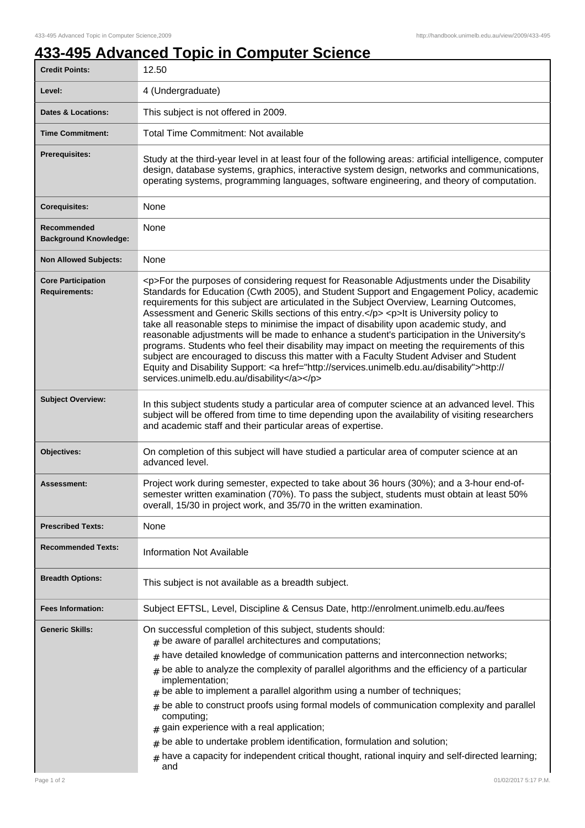## **433-495 Advanced Topic in Computer Science**

| <b>Credit Points:</b>                             | 12.50                                                                                                                                                                                                                                                                                                                                                                                                                                                                                                                                                                                                                                                                                                                                                                                                                                                                                                                        |
|---------------------------------------------------|------------------------------------------------------------------------------------------------------------------------------------------------------------------------------------------------------------------------------------------------------------------------------------------------------------------------------------------------------------------------------------------------------------------------------------------------------------------------------------------------------------------------------------------------------------------------------------------------------------------------------------------------------------------------------------------------------------------------------------------------------------------------------------------------------------------------------------------------------------------------------------------------------------------------------|
| Level:                                            | 4 (Undergraduate)                                                                                                                                                                                                                                                                                                                                                                                                                                                                                                                                                                                                                                                                                                                                                                                                                                                                                                            |
| <b>Dates &amp; Locations:</b>                     | This subject is not offered in 2009.                                                                                                                                                                                                                                                                                                                                                                                                                                                                                                                                                                                                                                                                                                                                                                                                                                                                                         |
| <b>Time Commitment:</b>                           | <b>Total Time Commitment: Not available</b>                                                                                                                                                                                                                                                                                                                                                                                                                                                                                                                                                                                                                                                                                                                                                                                                                                                                                  |
| <b>Prerequisites:</b>                             | Study at the third-year level in at least four of the following areas: artificial intelligence, computer<br>design, database systems, graphics, interactive system design, networks and communications,<br>operating systems, programming languages, software engineering, and theory of computation.                                                                                                                                                                                                                                                                                                                                                                                                                                                                                                                                                                                                                        |
| <b>Corequisites:</b>                              | None                                                                                                                                                                                                                                                                                                                                                                                                                                                                                                                                                                                                                                                                                                                                                                                                                                                                                                                         |
| Recommended<br><b>Background Knowledge:</b>       | None                                                                                                                                                                                                                                                                                                                                                                                                                                                                                                                                                                                                                                                                                                                                                                                                                                                                                                                         |
| <b>Non Allowed Subjects:</b>                      | None                                                                                                                                                                                                                                                                                                                                                                                                                                                                                                                                                                                                                                                                                                                                                                                                                                                                                                                         |
| <b>Core Participation</b><br><b>Requirements:</b> | <p>For the purposes of considering request for Reasonable Adjustments under the Disability<br/>Standards for Education (Cwth 2005), and Student Support and Engagement Policy, academic<br/>requirements for this subject are articulated in the Subject Overview, Learning Outcomes,<br/>Assessment and Generic Skills sections of this entry.</p> <p>lt is University policy to<br/>take all reasonable steps to minimise the impact of disability upon academic study, and<br/>reasonable adjustments will be made to enhance a student's participation in the University's<br/>programs. Students who feel their disability may impact on meeting the requirements of this<br/>subject are encouraged to discuss this matter with a Faculty Student Adviser and Student<br/>Equity and Disability Support: &lt; a href="http://services.unimelb.edu.au/disability"&gt;http://<br/>services.unimelb.edu.au/disability</p> |
| <b>Subject Overview:</b>                          | In this subject students study a particular area of computer science at an advanced level. This<br>subject will be offered from time to time depending upon the availability of visiting researchers<br>and academic staff and their particular areas of expertise.                                                                                                                                                                                                                                                                                                                                                                                                                                                                                                                                                                                                                                                          |
| Objectives:                                       | On completion of this subject will have studied a particular area of computer science at an<br>advanced level.                                                                                                                                                                                                                                                                                                                                                                                                                                                                                                                                                                                                                                                                                                                                                                                                               |
| Assessment:                                       | Project work during semester, expected to take about 36 hours (30%); and a 3-hour end-of-<br>semester written examination (70%). To pass the subject, students must obtain at least 50%<br>overall, 15/30 in project work, and 35/70 in the written examination.                                                                                                                                                                                                                                                                                                                                                                                                                                                                                                                                                                                                                                                             |
| <b>Prescribed Texts:</b>                          | None                                                                                                                                                                                                                                                                                                                                                                                                                                                                                                                                                                                                                                                                                                                                                                                                                                                                                                                         |
| <b>Recommended Texts:</b>                         | <b>Information Not Available</b>                                                                                                                                                                                                                                                                                                                                                                                                                                                                                                                                                                                                                                                                                                                                                                                                                                                                                             |
| <b>Breadth Options:</b>                           | This subject is not available as a breadth subject.                                                                                                                                                                                                                                                                                                                                                                                                                                                                                                                                                                                                                                                                                                                                                                                                                                                                          |
| <b>Fees Information:</b>                          | Subject EFTSL, Level, Discipline & Census Date, http://enrolment.unimelb.edu.au/fees                                                                                                                                                                                                                                                                                                                                                                                                                                                                                                                                                                                                                                                                                                                                                                                                                                         |
| <b>Generic Skills:</b>                            | On successful completion of this subject, students should:<br>$#$ be aware of parallel architectures and computations;<br>have detailed knowledge of communication patterns and interconnection networks;<br>#<br>be able to analyze the complexity of parallel algorithms and the efficiency of a particular<br>#<br>implementation;<br>be able to implement a parallel algorithm using a number of techniques;<br>#<br>be able to construct proofs using formal models of communication complexity and parallel<br>#<br>computing;<br>gain experience with a real application;<br>be able to undertake problem identification, formulation and solution;<br>#<br>have a capacity for independent critical thought, rational inquiry and self-directed learning;<br>$\#$<br>and                                                                                                                                             |